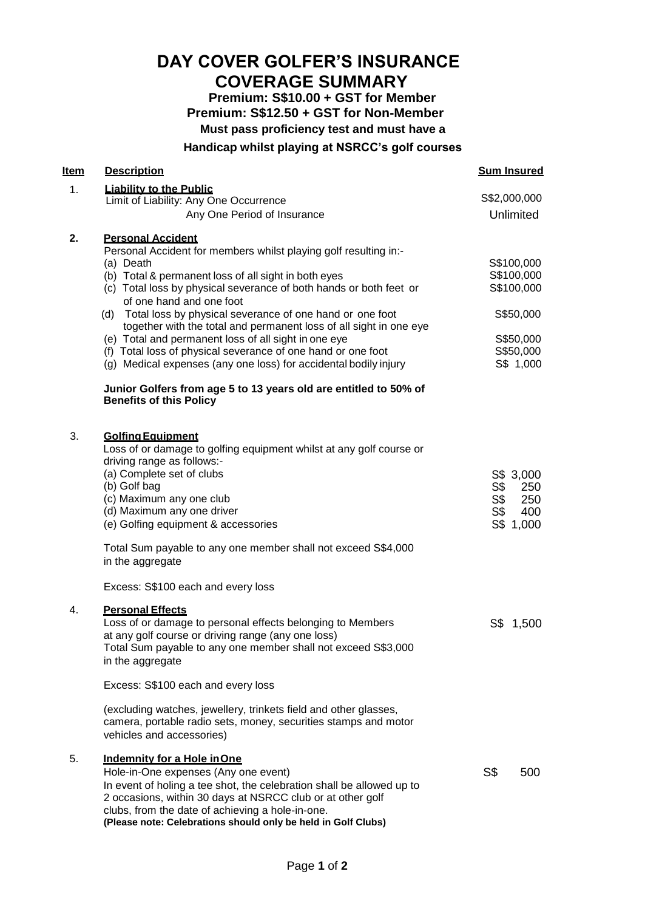# **DAY COVER GOLFER'S INSURANCE**

# **COVERAGE SUMMARY**

**Premium: S\$10.00 + GST for Member Premium: S\$12.50 + GST for Non-Member Must pass proficiency test and must have a**

# **Handicap whilst playing at NSRCC's golf courses**

| Item           | <b>Description</b>                                                                                                                                                                                                                                                                                                                                                                                                                                                                                                                                                                                                                                                                                          | <b>Sum Insured</b>                                                                         |
|----------------|-------------------------------------------------------------------------------------------------------------------------------------------------------------------------------------------------------------------------------------------------------------------------------------------------------------------------------------------------------------------------------------------------------------------------------------------------------------------------------------------------------------------------------------------------------------------------------------------------------------------------------------------------------------------------------------------------------------|--------------------------------------------------------------------------------------------|
| 1 <sub>1</sub> | <b>Liability to the Public</b>                                                                                                                                                                                                                                                                                                                                                                                                                                                                                                                                                                                                                                                                              | S\$2,000,000                                                                               |
|                | Limit of Liability: Any One Occurrence<br>Any One Period of Insurance                                                                                                                                                                                                                                                                                                                                                                                                                                                                                                                                                                                                                                       | Unlimited                                                                                  |
| 2.             | <b>Personal Accident</b><br>Personal Accident for members whilst playing golf resulting in:-<br>(a) Death<br>(b) Total & permanent loss of all sight in both eyes<br>(c) Total loss by physical severance of both hands or both feet or<br>of one hand and one foot<br>(d) Total loss by physical severance of one hand or one foot<br>together with the total and permanent loss of all sight in one eye<br>(e) Total and permanent loss of all sight in one eye<br>(f) Total loss of physical severance of one hand or one foot<br>(g) Medical expenses (any one loss) for accidental bodily injury<br>Junior Golfers from age 5 to 13 years old are entitled to 50% of<br><b>Benefits of this Policy</b> | S\$100,000<br>S\$100,000<br>S\$100,000<br>S\$50,000<br>S\$50,000<br>S\$50,000<br>S\$ 1,000 |
| 3.             | <b>Golfing Equipment</b><br>Loss of or damage to golfing equipment whilst at any golf course or<br>driving range as follows:-<br>(a) Complete set of clubs<br>(b) Golf bag<br>(c) Maximum any one club<br>(d) Maximum any one driver<br>(e) Golfing equipment & accessories                                                                                                                                                                                                                                                                                                                                                                                                                                 | S\$ 3,000<br>S\$<br>250<br>S\$<br>250<br>S\$<br>400<br>S\$ 1,000                           |
| 4.             | Total Sum payable to any one member shall not exceed S\$4,000<br>in the aggregate<br>Excess: S\$100 each and every loss<br><b>Personal Effects</b><br>Loss of or damage to personal effects belonging to Members<br>at any golf course or driving range (any one loss)<br>Total Sum payable to any one member shall not exceed S\$3,000<br>in the aggregate                                                                                                                                                                                                                                                                                                                                                 | S\$ 1,500                                                                                  |
|                | Excess: S\$100 each and every loss                                                                                                                                                                                                                                                                                                                                                                                                                                                                                                                                                                                                                                                                          |                                                                                            |
|                | (excluding watches, jewellery, trinkets field and other glasses,<br>camera, portable radio sets, money, securities stamps and motor<br>vehicles and accessories)                                                                                                                                                                                                                                                                                                                                                                                                                                                                                                                                            |                                                                                            |
| 5.             | Indemnity for a Hole in One<br>Hole-in-One expenses (Any one event)<br>In event of holing a tee shot, the celebration shall be allowed up to<br>2 occasions, within 30 days at NSRCC club or at other golf<br>clubs, from the date of achieving a hole-in-one.<br>(Please note: Celebrations should only be held in Golf Clubs)                                                                                                                                                                                                                                                                                                                                                                             | S\$<br>500                                                                                 |